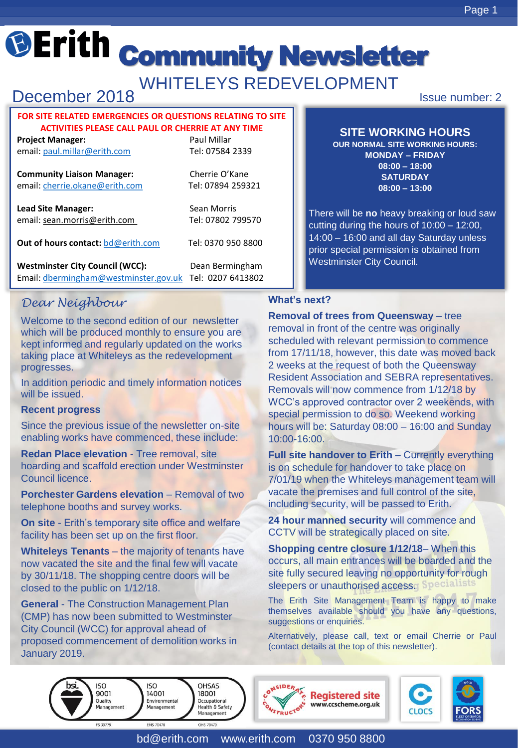WHITELEYS REDEVELOPMENT

# December 2018

#### **FOR SITE RELATED EMERGENCIES OR QUESTIONS RELATING TO SITE ACTIVITIES PLEASE CALL PAUL OR CHERRIE AT ANY TIME**

**Project Manager:** Project Manager: email: [paul.millar@erith.com](mailto:paul.millar@erith.com) Tel: 07584 2339

**Community Liaison Manager:** Cherrie O'Kane email: [cherrie.okane@erith.com](mailto:cherrie.okane@erith.com) Tel: 07894 259321

**Lead Site Manager:** Sean Morris email: sean.morris@erith.com Tel: 07802 799570

**Out of hours contact: [bd@erith.com](mailto:bd@erith.com)** Tel: 0370 950 8800

Westminster City Council (WCC): Dean Bermingham Email: [dbermingham@westminster.gov.uk](mailto:dbermingham@westminster.gov.uk) Tel: 0207 6413802

*Dear Neighbour*

Welcome to the second edition of our newsletter which will be produced monthly to ensure you are kept informed and regularly updated on the works taking place at Whiteleys as the redevelopment progresses.

In addition periodic and timely information notices will be issued.

#### **Recent progress**

Since the previous issue of the newsletter on-site enabling works have commenced, these include:

**Redan Place elevation** - Tree removal, site hoarding and scaffold erection under Westminster Council licence.

**Porchester Gardens elevation** – Removal of two telephone booths and survey works.

**On site** - Erith's temporary site office and welfare facility has been set up on the first floor.

**Whiteleys Tenants** – the majority of tenants have now vacated the site and the final few will vacate by 30/11/18. The shopping centre doors will be closed to the public on 1/12/18.

**General** - The Construction Management Plan (CMP) has now been submitted to Westminster City Council (WCC) for approval ahead of proposed commencement of demolition works in January 2019.

Issue number: 2

## **SITE WORKING HOURS**

**OUR NORMAL SITE WORKING HOURS: MONDAY – FRIDAY 08:00 – 18:00 SATURDAY 08:00 – 13:00**

There will be **no** heavy breaking or loud saw cutting during the hours of 10:00 – 12:00, 14:00 – 16:00 and all day Saturday unless prior special permission is obtained from Westminster City Council.

## **What's next?**

**Removal of trees from Queensway** – tree removal in front of the centre was originally scheduled with relevant permission to commence from 17/11/18, however, this date was moved back 2 weeks at the request of both the Queensway Resident Association and SEBRA representatives. Removals will now commence from 1/12/18 by WCC's approved contractor over 2 weekends, with special permission to do so. Weekend working hours will be: Saturday 08:00 – 16:00 and Sunday 10:00-16:00.

**Full site handover to Erith – Currently everything** is on schedule for handover to take place on 7/01/19 when the Whiteleys management team will vacate the premises and full control of the site, including security, will be passed to Erith.

**24 hour manned security** will commence and CCTV will be strategically placed on site.

**Shopping centre closure 1/12/18**– When this occurs, all main entrances will be boarded and the site fully secured leaving no opportunity for rough sleepers or unauthorised access. Specialists

The Erith Site Management Team is happy to make themselves available should you have any questions, suggestions or enquiries.

Alternatively, please call, text or email Cherrie or Paul (contact details at the top of this newsletter).

 $ISO$ **ISO OHSAS** 9001 14001 18001 Ouality Environmental Occupational Management Management **Health & Safety** Management FS 39779 **FMS 70478** OHS 70479





bd@erith.com www.erith.com 0370 950 8800